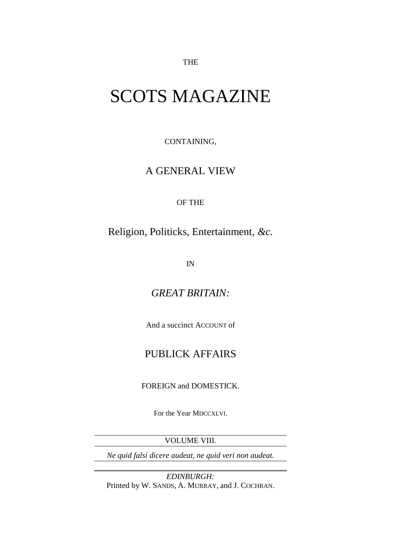THE

## SCOTS MAGAZINE

CONTAINING,

## A GENERAL VIEW

OF THE

Religion, Politicks, Entertainment, *&c.*

IN

*GREAT BRITAIN:*

And a succinct ACCOUNT of

## PUBLICK AFFAIRS

FOREIGN and DOMESTICK.

For the Year MDCCXLVI.

VOLUME VIII.

*[Ne quid falsi dicere audeat, ne quid veri non audeat.](file:///F:/references/Ascanius%20versions/Book/let%20him%20not%20dare%20to%20say%20anything%20that%20is%20false,%20nor%20let%20him%20dare%20say%20what%20is%20not%20true%20(Cicero))*

*EDINBURGH:* Printed by W. SANDS, A. MURRAY, and J. COCHRAN.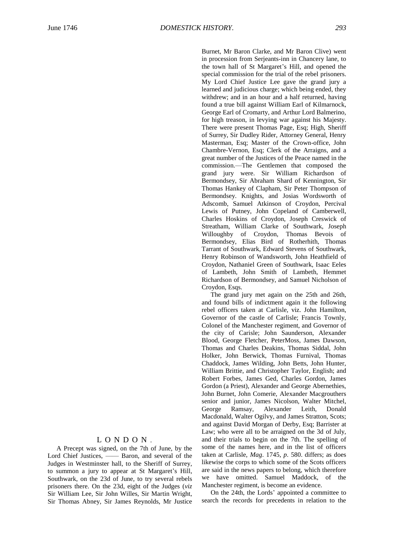Burnet, Mr Baron Clarke, and Mr Baron Clive) went in procession from Serjeants-inn in Chancery lane, to the town hall of St Margaret's Hill, and opened the special commission for the trial of the rebel prisoners. My Lord Chief Justice Lee gave the grand jury a learned and judicious charge; which being ended, they withdrew; and in an hour and a half returned, having found a true bill against William Earl of Kilmarnock, George Earl of Cromarty, and Arthur Lord Balmerino, for high treason, in levying war against his Majesty. There were present Thomas Page, Esq; High, Sheriff of Surrey, Sir Dudley Rider, Attorney General, Henry Masterman, Esq; Master of the Crown-office, John Chambre-Vernon, Esq; Clerk of the Arraigns, and a great number of the Justices of the Peace named in the commission.—The Gentlemen that composed the grand jury were. Sir William Richardson of Bermondsey, Sir Abraham Shard of Kennington, Sir Thomas Hankey of Clapham, Sir Peter Thompson of Bermondsey. Knights, and Josias Wordsworth of Adscomb, Samuel Atkinson of Croydon, Percival Lewis of Putney, John Copeland of Camberwell, Charles Hoskins of Croydon, Joseph Creswick of Streatham, William Clarke of Southwark, Joseph Willoughby of Croydon, Thomas Bevois of Bermondsey, Elias Bird of Rotherhith, Thomas Tarrant of Southwark, Edward Stevens of Southwark, Henry Robinson of Wandsworth, John Heathfield of Croydon, Nathaniel Green of Southwark, Isaac Eeles of Lambeth, John Smith of Lambeth, Hemmet Richardson of Bermondsey, and Samuel Nicholson of Croydon, Esqs.

The grand jury met again on the 25th and 26th, and found bills of indictment again it the following rebel officers taken at Carlisle, viz. John Hamilton, Governor of the castle of Carlisle; Francis Townly, Colonel of the Manchester regiment, and Governor of the city of Carisle; John Saunderson, Alexander Blood, George Fletcher, PeterMoss, James Dawson, Thomas and Charles Deakins, Thomas Siddal, John Holker, John Berwick, Thomas Furnival, Thomas Chaddock, James Wilding, John Betts, John Hunter, William Brittie, and Christopher Taylor, English; and Robert Forbes, James Ged, Charles Gordon, James Gordon (a Priest), Alexander and George Abernethies, John Burnet, John Comerie, Alexander Macgrouthers senior and junior, James Nicolson, Walter Mitchel,<br>George Ramsay, Alexander Leith, Donald George Ramsay, Alexander Leith, Macdonald, Walter Ogilvy, and James Stratton, Scots; and against David Morgan of Derby, Esq; Barrister at Law; who were all to be arraigned on the 3d of July, and their trials to begin on the 7th. The spelling of some of the names here, and in the list of officers taken at Carlisle, *Mag*. 1745, *p*. 580. differs; as does likewise the corps to which some of the Scots officers are said in the news papers to belong, which therefore we have omitted. Samuel Maddock, of the Manchester regiment, is become an evidence.

On the 24th, the Lords' appointed a committee to search the records for precedents in relation to the

## L O N D O N .

A Precept was signed, on the 7th of June, by the Lord Chief Justices,  $\frac{1}{\sqrt{2}}$  Baron, and several of the Judges in Westminster hall, to the Sheriff of Surrey, to summon a jury to appear at St Margaret's Hill, Southwark, on the 23d of June, to try several rebels prisoners there. On the 23d, eight of the Judges (*viz* Sir William Lee, Sir John Willes, Sir Martin Wright, Sir Thomas Abney, Sir James Reynolds, Mr Justice